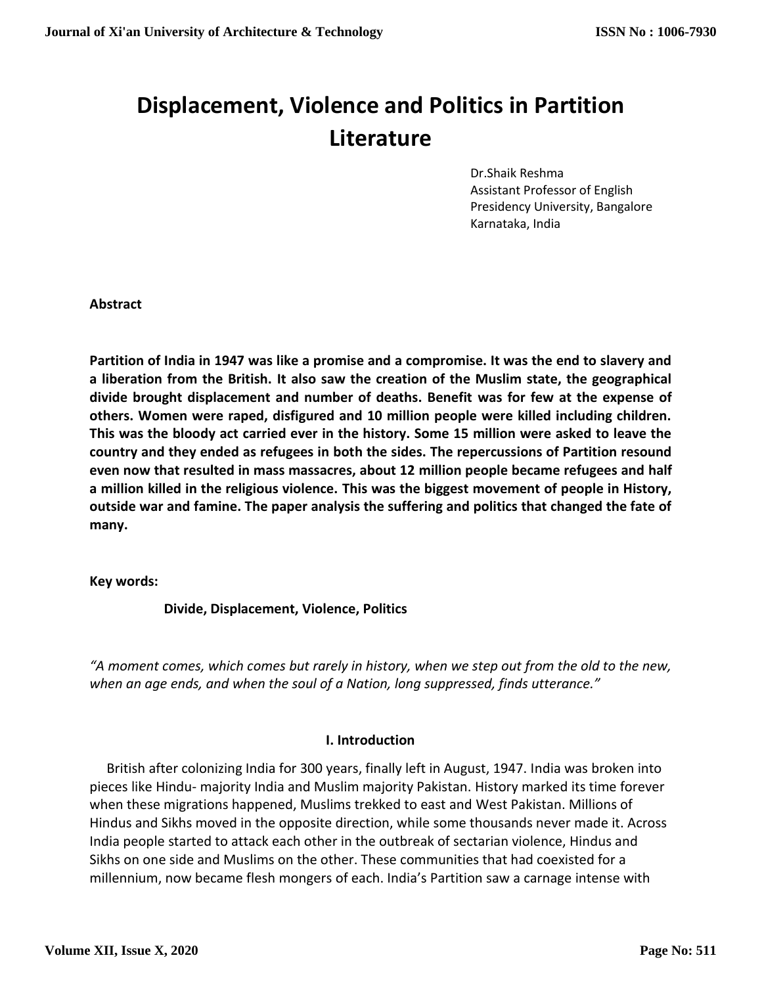## **Displacement, Violence and Politics in Partition Literature**

Dr.Shaik Reshma Assistant Professor of English Presidency University, Bangalore Karnataka, India

**Abstract**

**Partition of India in 1947 was like a promise and a compromise. It was the end to slavery and a liberation from the British. It also saw the creation of the Muslim state, the geographical divide brought displacement and number of deaths. Benefit was for few at the expense of others. Women were raped, disfigured and 10 million people were killed including children. This was the bloody act carried ever in the history. Some 15 million were asked to leave the country and they ended as refugees in both the sides. The repercussions of Partition resound even now that resulted in mass massacres, about 12 million people became refugees and half a million killed in the religious violence. This was the biggest movement of people in History, outside war and famine. The paper analysis the suffering and politics that changed the fate of many.**

**Key words:**

 **Divide, Displacement, Violence, Politics** 

*"A moment comes, which comes but rarely in history, when we step out from the old to the new, when an age ends, and when the soul of a Nation, long suppressed, finds utterance."* 

## **I. Introduction**

 British after colonizing India for 300 years, finally left in August, 1947. India was broken into pieces like Hindu- majority India and Muslim majority Pakistan. History marked its time forever when these migrations happened, Muslims trekked to east and West Pakistan. Millions of Hindus and Sikhs moved in the opposite direction, while some thousands never made it. Across India people started to attack each other in the outbreak of sectarian violence, Hindus and Sikhs on one side and Muslims on the other. These communities that had coexisted for a millennium, now became flesh mongers of each. India's Partition saw a carnage intense with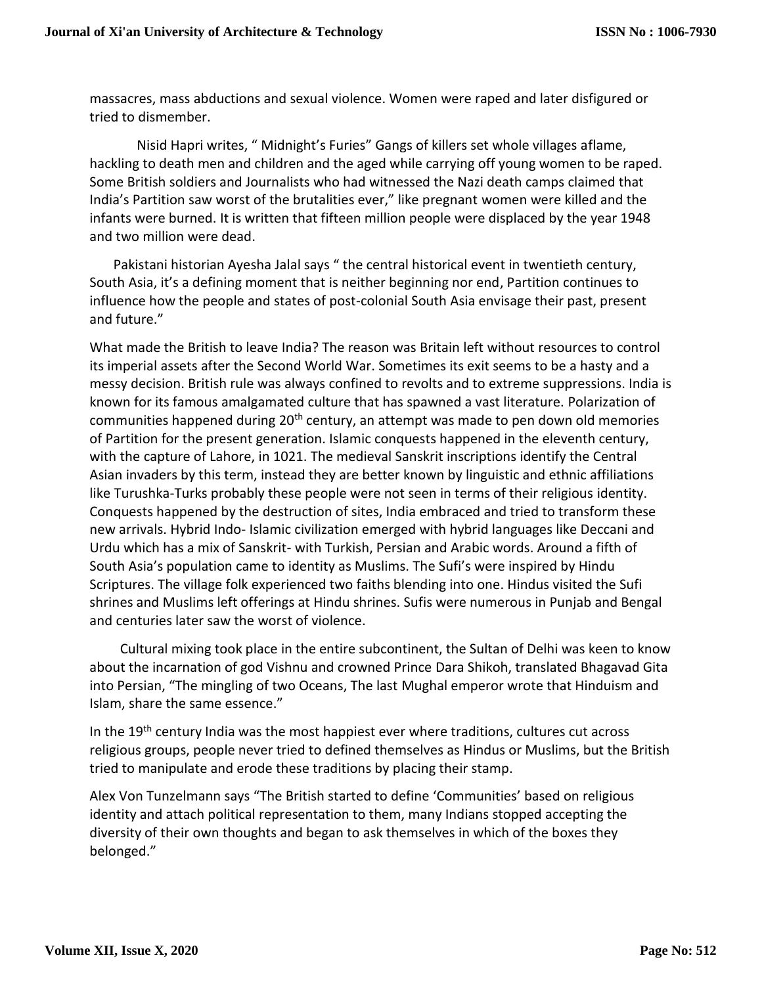massacres, mass abductions and sexual violence. Women were raped and later disfigured or tried to dismember.

 Nisid Hapri writes, " Midnight's Furies" Gangs of killers set whole villages aflame, hackling to death men and children and the aged while carrying off young women to be raped. Some British soldiers and Journalists who had witnessed the Nazi death camps claimed that India's Partition saw worst of the brutalities ever," like pregnant women were killed and the infants were burned. It is written that fifteen million people were displaced by the year 1948 and two million were dead.

 Pakistani historian Ayesha Jalal says " the central historical event in twentieth century, South Asia, it's a defining moment that is neither beginning nor end, Partition continues to influence how the people and states of post-colonial South Asia envisage their past, present and future."

What made the British to leave India? The reason was Britain left without resources to control its imperial assets after the Second World War. Sometimes its exit seems to be a hasty and a messy decision. British rule was always confined to revolts and to extreme suppressions. India is known for its famous amalgamated culture that has spawned a vast literature. Polarization of communities happened during 20<sup>th</sup> century, an attempt was made to pen down old memories of Partition for the present generation. Islamic conquests happened in the eleventh century, with the capture of Lahore, in 1021. The medieval Sanskrit inscriptions identify the Central Asian invaders by this term, instead they are better known by linguistic and ethnic affiliations like Turushka-Turks probably these people were not seen in terms of their religious identity. Conquests happened by the destruction of sites, India embraced and tried to transform these new arrivals. Hybrid Indo- Islamic civilization emerged with hybrid languages like Deccani and Urdu which has a mix of Sanskrit- with Turkish, Persian and Arabic words. Around a fifth of South Asia's population came to identity as Muslims. The Sufi's were inspired by Hindu Scriptures. The village folk experienced two faiths blending into one. Hindus visited the Sufi shrines and Muslims left offerings at Hindu shrines. Sufis were numerous in Punjab and Bengal and centuries later saw the worst of violence.

 Cultural mixing took place in the entire subcontinent, the Sultan of Delhi was keen to know about the incarnation of god Vishnu and crowned Prince Dara Shikoh, translated Bhagavad Gita into Persian, "The mingling of two Oceans, The last Mughal emperor wrote that Hinduism and Islam, share the same essence."

In the 19<sup>th</sup> century India was the most happiest ever where traditions, cultures cut across religious groups, people never tried to defined themselves as Hindus or Muslims, but the British tried to manipulate and erode these traditions by placing their stamp.

Alex Von Tunzelmann says "The British started to define 'Communities' based on religious identity and attach political representation to them, many Indians stopped accepting the diversity of their own thoughts and began to ask themselves in which of the boxes they belonged."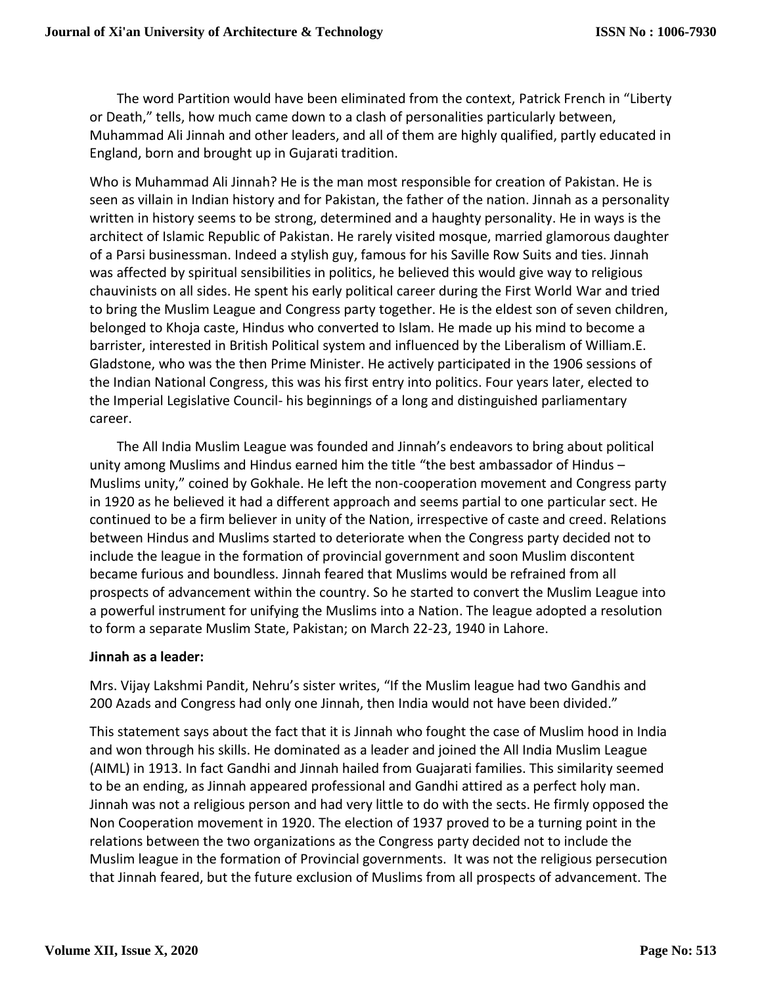The word Partition would have been eliminated from the context, Patrick French in "Liberty or Death," tells, how much came down to a clash of personalities particularly between, Muhammad Ali Jinnah and other leaders, and all of them are highly qualified, partly educated in England, born and brought up in Gujarati tradition.

Who is Muhammad Ali Jinnah? He is the man most responsible for creation of Pakistan. He is seen as villain in Indian history and for Pakistan, the father of the nation. Jinnah as a personality written in history seems to be strong, determined and a haughty personality. He in ways is the architect of Islamic Republic of Pakistan. He rarely visited mosque, married glamorous daughter of a Parsi businessman. Indeed a stylish guy, famous for his Saville Row Suits and ties. Jinnah was affected by spiritual sensibilities in politics, he believed this would give way to religious chauvinists on all sides. He spent his early political career during the First World War and tried to bring the Muslim League and Congress party together. He is the eldest son of seven children, belonged to Khoja caste, Hindus who converted to Islam. He made up his mind to become a barrister, interested in British Political system and influenced by the Liberalism of William.E. Gladstone, who was the then Prime Minister. He actively participated in the 1906 sessions of the Indian National Congress, this was his first entry into politics. Four years later, elected to the Imperial Legislative Council- his beginnings of a long and distinguished parliamentary career.

 The All India Muslim League was founded and Jinnah's endeavors to bring about political unity among Muslims and Hindus earned him the title "the best ambassador of Hindus – Muslims unity," coined by Gokhale. He left the non-cooperation movement and Congress party in 1920 as he believed it had a different approach and seems partial to one particular sect. He continued to be a firm believer in unity of the Nation, irrespective of caste and creed. Relations between Hindus and Muslims started to deteriorate when the Congress party decided not to include the league in the formation of provincial government and soon Muslim discontent became furious and boundless. Jinnah feared that Muslims would be refrained from all prospects of advancement within the country. So he started to convert the Muslim League into a powerful instrument for unifying the Muslims into a Nation. The league adopted a resolution to form a separate Muslim State, Pakistan; on March 22-23, 1940 in Lahore.

## **Jinnah as a leader:**

Mrs. Vijay Lakshmi Pandit, Nehru's sister writes, "If the Muslim league had two Gandhis and 200 Azads and Congress had only one Jinnah, then India would not have been divided."

This statement says about the fact that it is Jinnah who fought the case of Muslim hood in India and won through his skills. He dominated as a leader and joined the All India Muslim League (AIML) in 1913. In fact Gandhi and Jinnah hailed from Guajarati families. This similarity seemed to be an ending, as Jinnah appeared professional and Gandhi attired as a perfect holy man. Jinnah was not a religious person and had very little to do with the sects. He firmly opposed the Non Cooperation movement in 1920. The election of 1937 proved to be a turning point in the relations between the two organizations as the Congress party decided not to include the Muslim league in the formation of Provincial governments. It was not the religious persecution that Jinnah feared, but the future exclusion of Muslims from all prospects of advancement. The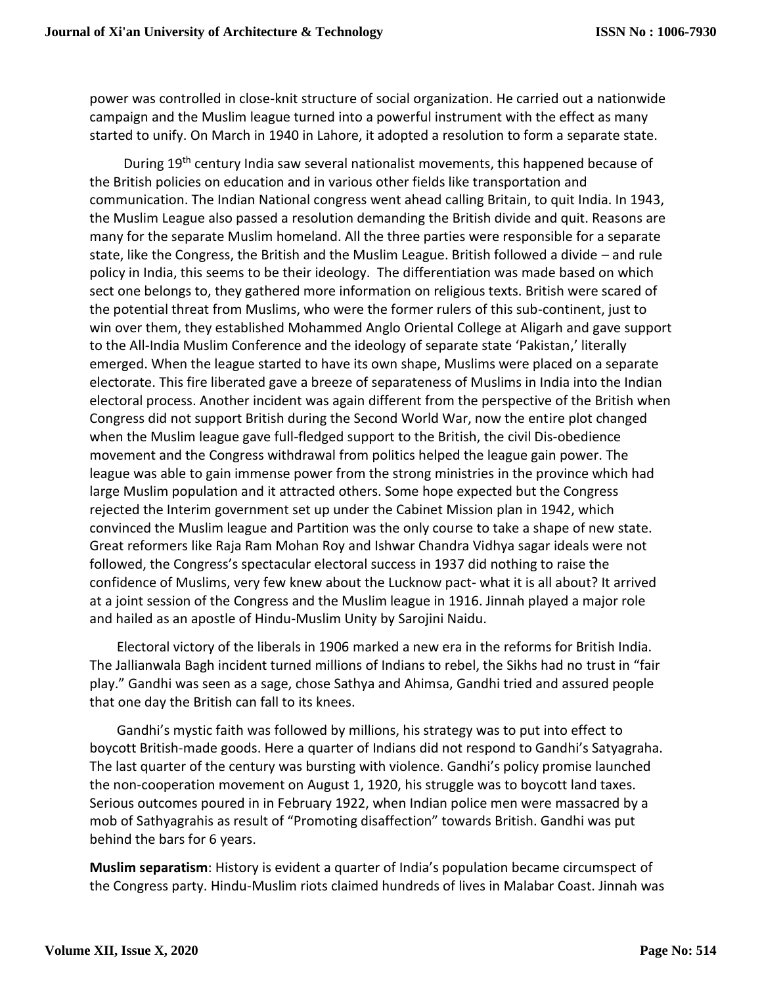power was controlled in close-knit structure of social organization. He carried out a nationwide campaign and the Muslim league turned into a powerful instrument with the effect as many started to unify. On March in 1940 in Lahore, it adopted a resolution to form a separate state.

During 19<sup>th</sup> century India saw several nationalist movements, this happened because of the British policies on education and in various other fields like transportation and communication. The Indian National congress went ahead calling Britain, to quit India. In 1943, the Muslim League also passed a resolution demanding the British divide and quit. Reasons are many for the separate Muslim homeland. All the three parties were responsible for a separate state, like the Congress, the British and the Muslim League. British followed a divide – and rule policy in India, this seems to be their ideology. The differentiation was made based on which sect one belongs to, they gathered more information on religious texts. British were scared of the potential threat from Muslims, who were the former rulers of this sub-continent, just to win over them, they established Mohammed Anglo Oriental College at Aligarh and gave support to the All-India Muslim Conference and the ideology of separate state 'Pakistan,' literally emerged. When the league started to have its own shape, Muslims were placed on a separate electorate. This fire liberated gave a breeze of separateness of Muslims in India into the Indian electoral process. Another incident was again different from the perspective of the British when Congress did not support British during the Second World War, now the entire plot changed when the Muslim league gave full-fledged support to the British, the civil Dis-obedience movement and the Congress withdrawal from politics helped the league gain power. The league was able to gain immense power from the strong ministries in the province which had large Muslim population and it attracted others. Some hope expected but the Congress rejected the Interim government set up under the Cabinet Mission plan in 1942, which convinced the Muslim league and Partition was the only course to take a shape of new state. Great reformers like Raja Ram Mohan Roy and Ishwar Chandra Vidhya sagar ideals were not followed, the Congress's spectacular electoral success in 1937 did nothing to raise the confidence of Muslims, very few knew about the Lucknow pact- what it is all about? It arrived at a joint session of the Congress and the Muslim league in 1916. Jinnah played a major role and hailed as an apostle of Hindu-Muslim Unity by Sarojini Naidu.

 Electoral victory of the liberals in 1906 marked a new era in the reforms for British India. The Jallianwala Bagh incident turned millions of Indians to rebel, the Sikhs had no trust in "fair play." Gandhi was seen as a sage, chose Sathya and Ahimsa, Gandhi tried and assured people that one day the British can fall to its knees.

 Gandhi's mystic faith was followed by millions, his strategy was to put into effect to boycott British-made goods. Here a quarter of Indians did not respond to Gandhi's Satyagraha. The last quarter of the century was bursting with violence. Gandhi's policy promise launched the non-cooperation movement on August 1, 1920, his struggle was to boycott land taxes. Serious outcomes poured in in February 1922, when Indian police men were massacred by a mob of Sathyagrahis as result of "Promoting disaffection" towards British. Gandhi was put behind the bars for 6 years.

**Muslim separatism**: History is evident a quarter of India's population became circumspect of the Congress party. Hindu-Muslim riots claimed hundreds of lives in Malabar Coast. Jinnah was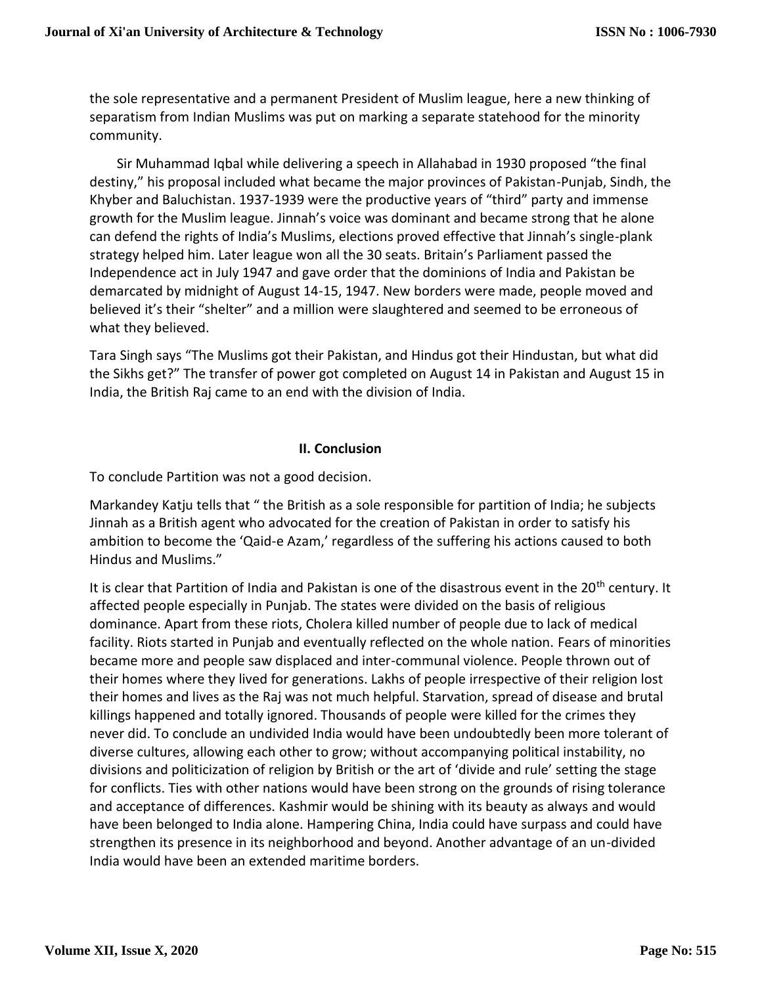the sole representative and a permanent President of Muslim league, here a new thinking of separatism from Indian Muslims was put on marking a separate statehood for the minority community.

 Sir Muhammad Iqbal while delivering a speech in Allahabad in 1930 proposed "the final destiny," his proposal included what became the major provinces of Pakistan-Punjab, Sindh, the Khyber and Baluchistan. 1937-1939 were the productive years of "third" party and immense growth for the Muslim league. Jinnah's voice was dominant and became strong that he alone can defend the rights of India's Muslims, elections proved effective that Jinnah's single-plank strategy helped him. Later league won all the 30 seats. Britain's Parliament passed the Independence act in July 1947 and gave order that the dominions of India and Pakistan be demarcated by midnight of August 14-15, 1947. New borders were made, people moved and believed it's their "shelter" and a million were slaughtered and seemed to be erroneous of what they believed.

Tara Singh says "The Muslims got their Pakistan, and Hindus got their Hindustan, but what did the Sikhs get?" The transfer of power got completed on August 14 in Pakistan and August 15 in India, the British Raj came to an end with the division of India.

## **II. Conclusion**

To conclude Partition was not a good decision.

Markandey Katju tells that " the British as a sole responsible for partition of India; he subjects Jinnah as a British agent who advocated for the creation of Pakistan in order to satisfy his ambition to become the 'Qaid-e Azam,' regardless of the suffering his actions caused to both Hindus and Muslims."

It is clear that Partition of India and Pakistan is one of the disastrous event in the 20<sup>th</sup> century. It affected people especially in Punjab. The states were divided on the basis of religious dominance. Apart from these riots, Cholera killed number of people due to lack of medical facility. Riots started in Punjab and eventually reflected on the whole nation. Fears of minorities became more and people saw displaced and inter-communal violence. People thrown out of their homes where they lived for generations. Lakhs of people irrespective of their religion lost their homes and lives as the Raj was not much helpful. Starvation, spread of disease and brutal killings happened and totally ignored. Thousands of people were killed for the crimes they never did. To conclude an undivided India would have been undoubtedly been more tolerant of diverse cultures, allowing each other to grow; without accompanying political instability, no divisions and politicization of religion by British or the art of 'divide and rule' setting the stage for conflicts. Ties with other nations would have been strong on the grounds of rising tolerance and acceptance of differences. Kashmir would be shining with its beauty as always and would have been belonged to India alone. Hampering China, India could have surpass and could have strengthen its presence in its neighborhood and beyond. Another advantage of an un-divided India would have been an extended maritime borders.